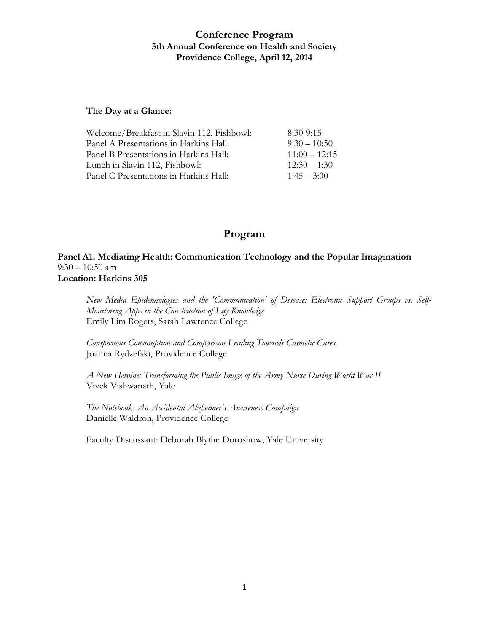#### **The Day at a Glance:**

| $8:30-9:15$     |
|-----------------|
| $9:30 - 10:50$  |
| $11:00 - 12:15$ |
| $12:30 - 1:30$  |
| $1:45 - 3:00$   |
|                 |

## **Program**

**Panel A1. Mediating Health: Communication Technology and the Popular Imagination** 9:30 – 10:50 am **Location: Harkins 305**

*New Media Epidemiologies and the 'Communication' of Disease: Electronic Support Groups vs. Self-Monitoring Apps in the Construction of Lay Knowledge* Emily Lim Rogers, Sarah Lawrence College

*Conspicuous Consumption and Comparison Leading Towards Cosmetic Cures* Joanna Rydzefski, Providence College

*A New Heroine: Transforming the Public Image of the Army Nurse During World War II* Vivek Vishwanath, Yale

*The Notebook: An Accidental Alzheimer's Awareness Campaign* Danielle Waldron, Providence College

Faculty Discussant: Deborah Blythe Doroshow, Yale University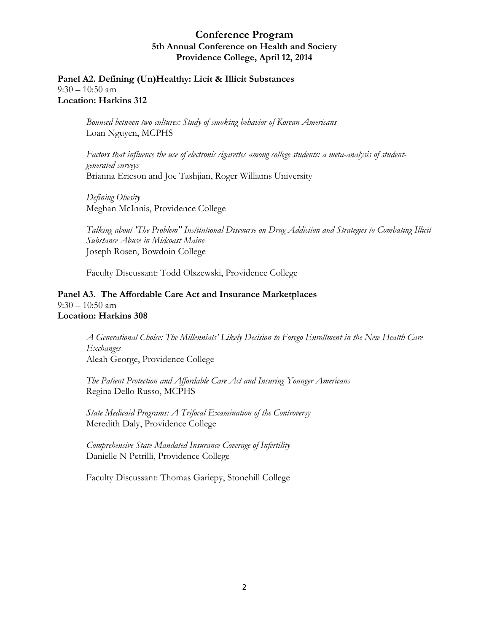**Panel A2. Defining (Un)Healthy: Licit & Illicit Substances**  9:30 – 10:50 am **Location: Harkins 312**

> *Bounced between two cultures: Study of smoking behavior of Korean Americans*  Loan Nguyen, MCPHS

*Factors that influence the use of electronic cigarettes among college students: a meta-analysis of studentgenerated surveys* Brianna Ericson and Joe Tashjian, Roger Williams University

*Defining Obesity*  Meghan McInnis, Providence College

*Talking about 'The Problem" Institutional Discourse on Drug Addiction and Strategies to Combating Illicit Substance Abuse in Midcoast Maine* Joseph Rosen, Bowdoin College

Faculty Discussant: Todd Olszewski, Providence College

#### **Panel A3. The Affordable Care Act and Insurance Marketplaces**   $9:30 - 10:50$  am **Location: Harkins 308**

*A Generational Choice: The Millennials' Likely Decision to Forego Enrollment in the New Health Care Exchanges* Aleah George, Providence College

*The Patient Protection and Affordable Care Act and Insuring Younger Americans* Regina Dello Russo, MCPHS

*State Medicaid Programs: A Trifocal Examination of the Controversy* Meredith Daly, Providence College

*Comprehensive State-Mandated Insurance Coverage of Infertility* Danielle N Petrilli, Providence College

Faculty Discussant: Thomas Gariepy, Stonehill College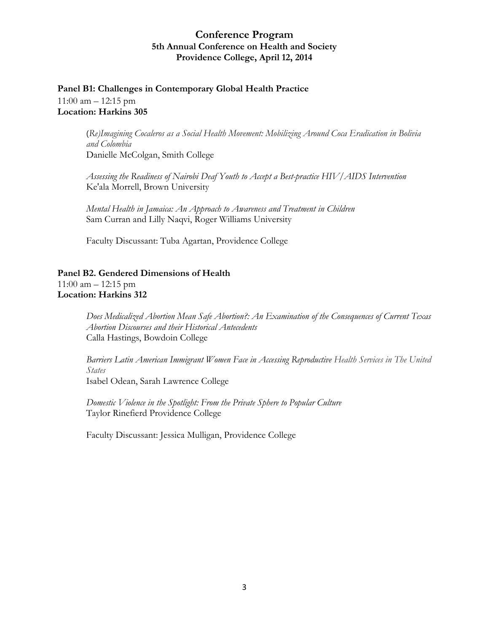# **Panel B1: Challenges in Contemporary Global Health Practice**

11:00 am – 12:15 pm **Location: Harkins 305**

> (*Re)Imagining Cocaleros as a Social Health Movement: Mobilizing Around Coca Eradication in Bolivia and Colombia* Danielle McColgan, Smith College

*Assessing the Readiness of Nairobi Deaf Youth to Accept a Best-practice HIV/AIDS Intervention* Ke'ala Morrell, Brown University

*Mental Health in Jamaica: An Approach to Awareness and Treatment in Children*  Sam Curran and Lilly Naqvi, Roger Williams University

Faculty Discussant: Tuba Agartan, Providence College

## **Panel B2. Gendered Dimensions of Health**

11:00 am – 12:15 pm **Location: Harkins 312**

> *Does Medicalized Abortion Mean Safe Abortion?: An Examination of the Consequences of Current Texas Abortion Discourses and their Historical Antecedents* Calla Hastings, Bowdoin College

> *Barriers Latin American Immigrant Women Face in Accessing Reproductive Health Services in The United States* Isabel Odean, Sarah Lawrence College

*Domestic Violence in the Spotlight: From the Private Sphere to Popular Culture* Taylor Rinefierd Providence College

Faculty Discussant: Jessica Mulligan, Providence College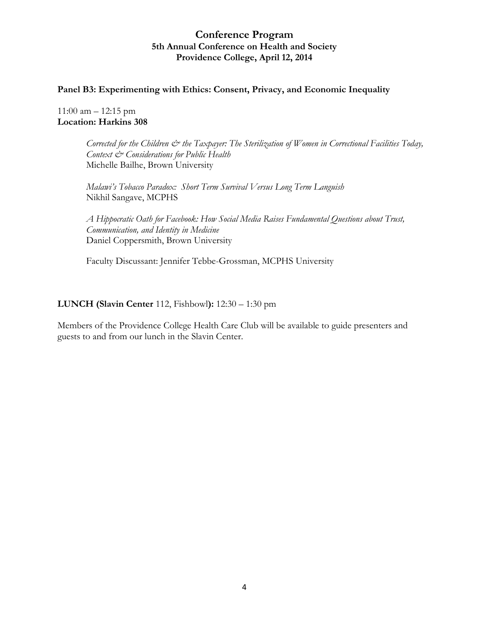#### **Panel B3: Experimenting with Ethics: Consent, Privacy, and Economic Inequality**

 $11:00$  am  $-12:15$  pm **Location: Harkins 308**

> *Corrected for the Children*  $\dot{\mathcal{O}}$  *the Taxpayer: The Sterilization of Women in Correctional Facilities Today, Context & Considerations for Public Health* Michelle Bailhe, Brown University

*Malawi's Tobacco Paradox: Short Term Survival Versus Long Term Languish* Nikhil Sangave, MCPHS

*A Hippocratic Oath for Facebook: How Social Media Raises Fundamental Questions about Trust, Communication, and Identity in Medicine*  Daniel Coppersmith, Brown University

Faculty Discussant: Jennifer Tebbe-Grossman, MCPHS University

#### **LUNCH (Slavin Center** 112, Fishbowl**):** 12:30 – 1:30 pm

Members of the Providence College Health Care Club will be available to guide presenters and guests to and from our lunch in the Slavin Center.